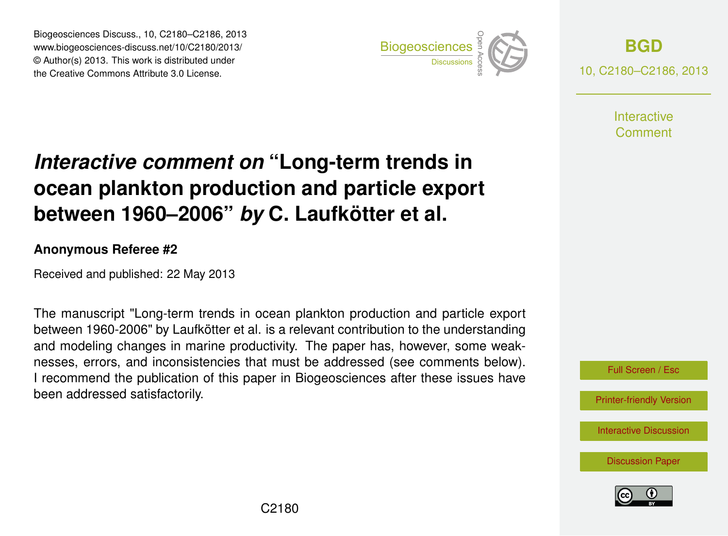Biogeosciences Discuss., 10, C2180–C2186, 2013 www.biogeosciences-discuss.net/10/C2180/2013/ www.biogeosciences-ulscuss.net/10/Oz100/2013/<br>© Author(s) 2013. This work is distributed under the Creative Commons Attribute 3.0 License.



**[BGD](http://www.biogeosciences-discuss.net)** 10, C2180–C2186, 2013

> **Interactive** Comment

#### Earth System ocean plankton production and particle export  $\overline{\mathbf{u}}$  $\mathbf t$ *Interactive comment on* "Long-term trends in between 1960–2006" *by* C. Laufkötter et al.

#### Instrumentation **Anonymous Referee #2**

Received and published: 22 May 2013

The manuscript "Long-term trends in ocean plankton production and particle export between 1960-2006" by Laufkötter et al. is a relevant contribution to the understanding C<br>C<br>C le<br>`s and modeling changes in marine productivity. The paper has, however, some weak-I recommend the publication of this paper in Biogeosciences after these issues have been addressed satisfactorily.  $\epsilon$  $\frac{1}{2}$ nesses, errors, and inconsistencies that must be addressed (see comments below).

Full Screen / Esc

[Printer-friendly Version](http://www.biogeosciences-discuss.net/10/C2180/2013/bgd-10-C2180-2013-print.pdf)

[Interactive Discussion](http://www.biogeosciences-discuss.net/10/5923/2013/bgd-10-5923-2013-discussion.html)

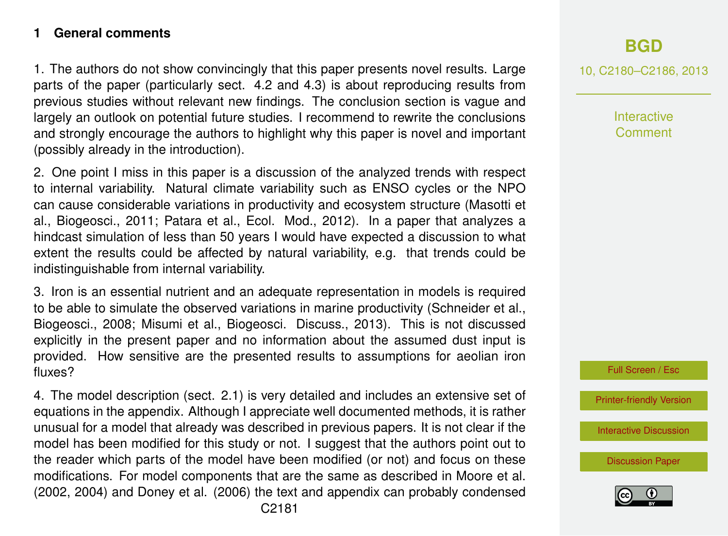## **1 General comments**

1. The authors do not show convincingly that this paper presents novel results. Large parts of the paper (particularly sect. 4.2 and 4.3) is about reproducing results from previous studies without relevant new findings. The conclusion section is vague and largely an outlook on potential future studies. I recommend to rewrite the conclusions and strongly encourage the authors to highlight why this paper is novel and important (possibly already in the introduction).

2. One point I miss in this paper is a discussion of the analyzed trends with respect to internal variability. Natural climate variability such as ENSO cycles or the NPO can cause considerable variations in productivity and ecosystem structure (Masotti et al., Biogeosci., 2011; Patara et al., Ecol. Mod., 2012). In a paper that analyzes a hindcast simulation of less than 50 years I would have expected a discussion to what extent the results could be affected by natural variability, e.g. that trends could be indistinguishable from internal variability.

3. Iron is an essential nutrient and an adequate representation in models is required to be able to simulate the observed variations in marine productivity (Schneider et al., Biogeosci., 2008; Misumi et al., Biogeosci. Discuss., 2013). This is not discussed explicitly in the present paper and no information about the assumed dust input is provided. How sensitive are the presented results to assumptions for aeolian iron fluxes?

4. The model description (sect. 2.1) is very detailed and includes an extensive set of equations in the appendix. Although I appreciate well documented methods, it is rather unusual for a model that already was described in previous papers. It is not clear if the model has been modified for this study or not. I suggest that the authors point out to the reader which parts of the model have been modified (or not) and focus on these modifications. For model components that are the same as described in Moore et al. (2002, 2004) and Doney et al. (2006) the text and appendix can probably condensed

10, C2180–C2186, 2013

Interactive Comment

Full Screen / Esc

[Printer-friendly Version](http://www.biogeosciences-discuss.net/10/C2180/2013/bgd-10-C2180-2013-print.pdf)

[Interactive Discussion](http://www.biogeosciences-discuss.net/10/5923/2013/bgd-10-5923-2013-discussion.html)

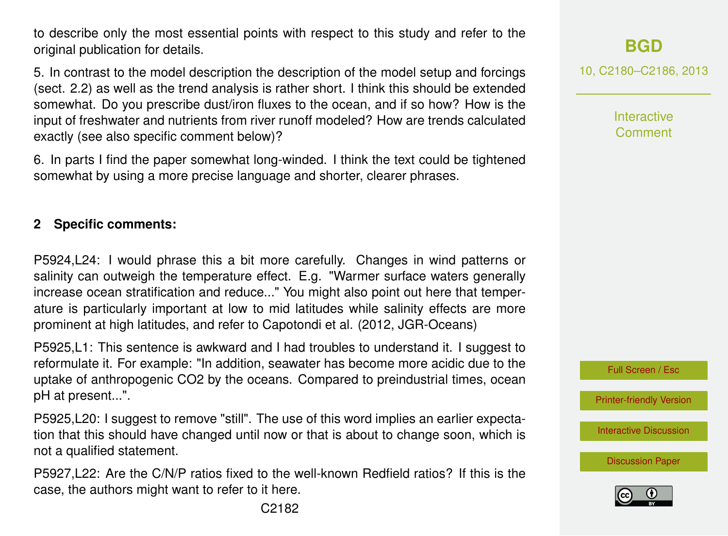to describe only the most essential points with respect to this study and refer to the original publication for details.

5. In contrast to the model description the description of the model setup and forcings (sect. 2.2) as well as the trend analysis is rather short. I think this should be extended somewhat. Do you prescribe dust/iron fluxes to the ocean, and if so how? How is the input of freshwater and nutrients from river runoff modeled? How are trends calculated exactly (see also specific comment below)?

6. In parts I find the paper somewhat long-winded. I think the text could be tightened somewhat by using a more precise language and shorter, clearer phrases.

# **2 Specific comments:**

P5924,L24: I would phrase this a bit more carefully. Changes in wind patterns or salinity can outweigh the temperature effect. E.g. "Warmer surface waters generally increase ocean stratification and reduce..." You might also point out here that temperature is particularly important at low to mid latitudes while salinity effects are more prominent at high latitudes, and refer to Capotondi et al. (2012, JGR-Oceans)

P5925,L1: This sentence is awkward and I had troubles to understand it. I suggest to reformulate it. For example: "In addition, seawater has become more acidic due to the uptake of anthropogenic CO2 by the oceans. Compared to preindustrial times, ocean pH at present...".

P5925,L20: I suggest to remove "still". The use of this word implies an earlier expectation that this should have changed until now or that is about to change soon, which is not a qualified statement.

P5927,L22: Are the C/N/P ratios fixed to the well-known Redfield ratios? If this is the case, the authors might want to refer to it here.

10, C2180–C2186, 2013

**Interactive Comment** 



[Printer-friendly Version](http://www.biogeosciences-discuss.net/10/C2180/2013/bgd-10-C2180-2013-print.pdf)

[Interactive Discussion](http://www.biogeosciences-discuss.net/10/5923/2013/bgd-10-5923-2013-discussion.html)

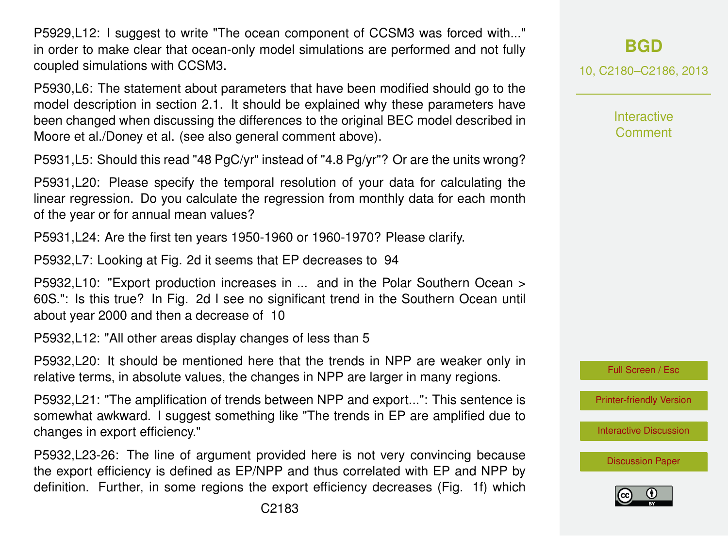P5929,L12: I suggest to write "The ocean component of CCSM3 was forced with..." in order to make clear that ocean-only model simulations are performed and not fully coupled simulations with CCSM3.

P5930,L6: The statement about parameters that have been modified should go to the model description in section 2.1. It should be explained why these parameters have been changed when discussing the differences to the original BEC model described in Moore et al./Doney et al. (see also general comment above).

P5931,L5: Should this read "48 PgC/yr" instead of "4.8 Pg/yr"? Or are the units wrong?

P5931,L20: Please specify the temporal resolution of your data for calculating the linear regression. Do you calculate the regression from monthly data for each month of the year or for annual mean values?

P5931,L24: Are the first ten years 1950-1960 or 1960-1970? Please clarify.

P5932,L7: Looking at Fig. 2d it seems that EP decreases to 94

P5932,L10: "Export production increases in ... and in the Polar Southern Ocean > 60S.": Is this true? In Fig. 2d I see no significant trend in the Southern Ocean until about year 2000 and then a decrease of 10

P5932,L12: "All other areas display changes of less than 5

P5932,L20: It should be mentioned here that the trends in NPP are weaker only in relative terms, in absolute values, the changes in NPP are larger in many regions.

P5932,L21: "The amplification of trends between NPP and export...": This sentence is somewhat awkward. I suggest something like "The trends in EP are amplified due to changes in export efficiency."

P5932,L23-26: The line of argument provided here is not very convincing because the export efficiency is defined as EP/NPP and thus correlated with EP and NPP by definition. Further, in some regions the export efficiency decreases (Fig. 1f) which 10, C2180–C2186, 2013

**Interactive Comment** 



[Printer-friendly Version](http://www.biogeosciences-discuss.net/10/C2180/2013/bgd-10-C2180-2013-print.pdf)

[Interactive Discussion](http://www.biogeosciences-discuss.net/10/5923/2013/bgd-10-5923-2013-discussion.html)

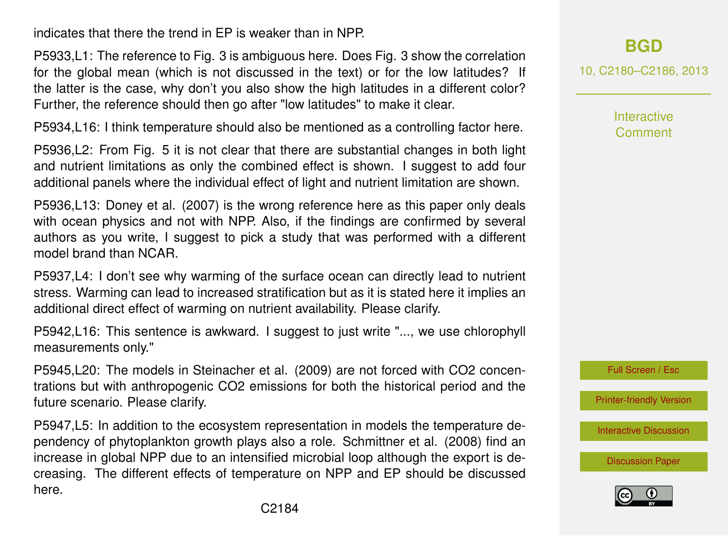indicates that there the trend in EP is weaker than in NPP.

P5933,L1: The reference to Fig. 3 is ambiguous here. Does Fig. 3 show the correlation for the global mean (which is not discussed in the text) or for the low latitudes? If the latter is the case, why don't you also show the high latitudes in a different color? Further, the reference should then go after "low latitudes" to make it clear.

P5934,L16: I think temperature should also be mentioned as a controlling factor here.

P5936,L2: From Fig. 5 it is not clear that there are substantial changes in both light and nutrient limitations as only the combined effect is shown. I suggest to add four additional panels where the individual effect of light and nutrient limitation are shown.

P5936,L13: Doney et al. (2007) is the wrong reference here as this paper only deals with ocean physics and not with NPP. Also, if the findings are confirmed by several authors as you write, I suggest to pick a study that was performed with a different model brand than NCAR.

P5937,L4: I don't see why warming of the surface ocean can directly lead to nutrient stress. Warming can lead to increased stratification but as it is stated here it implies an additional direct effect of warming on nutrient availability. Please clarify.

P5942,L16: This sentence is awkward. I suggest to just write "..., we use chlorophyll measurements only."

P5945,L20: The models in Steinacher et al. (2009) are not forced with CO2 concentrations but with anthropogenic CO2 emissions for both the historical period and the future scenario. Please clarify.

P5947,L5: In addition to the ecosystem representation in models the temperature dependency of phytoplankton growth plays also a role. Schmittner et al. (2008) find an increase in global NPP due to an intensified microbial loop although the export is decreasing. The different effects of temperature on NPP and EP should be discussed here.

**[BGD](http://www.biogeosciences-discuss.net)**

10, C2180–C2186, 2013

**Interactive Comment** 

Full Screen / Esc

[Printer-friendly Version](http://www.biogeosciences-discuss.net/10/C2180/2013/bgd-10-C2180-2013-print.pdf)

[Interactive Discussion](http://www.biogeosciences-discuss.net/10/5923/2013/bgd-10-5923-2013-discussion.html)

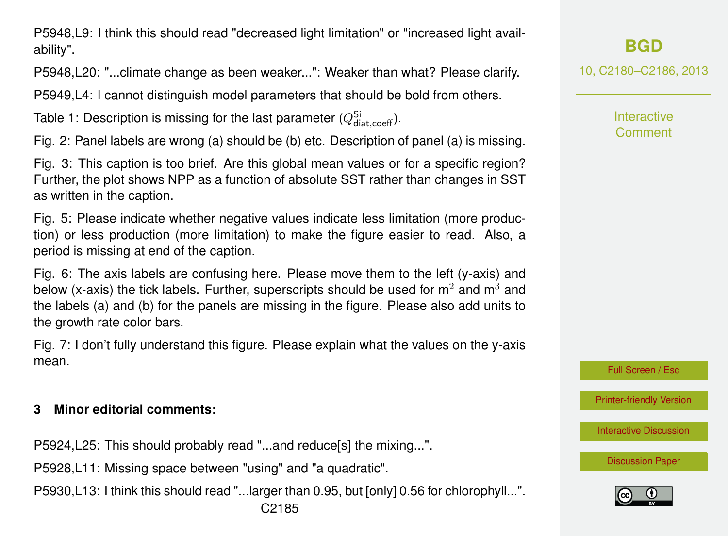P5948,L9: I think this should read "decreased light limitation" or "increased light availability".

P5948,L20: "...climate change as been weaker...": Weaker than what? Please clarify.

P5949,L4: I cannot distinguish model parameters that should be bold from others.

Table 1: Description is missing for the last parameter  $(Q_{\sf data,coeff}^{\sf Si}).$ 

Fig. 2: Panel labels are wrong (a) should be (b) etc. Description of panel (a) is missing.

Fig. 3: This caption is too brief. Are this global mean values or for a specific region? Further, the plot shows NPP as a function of absolute SST rather than changes in SST as written in the caption.

Fig. 5: Please indicate whether negative values indicate less limitation (more production) or less production (more limitation) to make the figure easier to read. Also, a period is missing at end of the caption.

Fig. 6: The axis labels are confusing here. Please move them to the left (y-axis) and below (x-axis) the tick labels. Further, superscripts should be used for  $m^2$  and  $m^3$  and the labels (a) and (b) for the panels are missing in the figure. Please also add units to the growth rate color bars.

Fig. 7: I don't fully understand this figure. Please explain what the values on the y-axis mean.

## **3 Minor editorial comments:**

P5924,L25: This should probably read "...and reduce[s] the mixing...".

P5928,L11: Missing space between "using" and "a quadratic".

P5930,L13: I think this should read "...larger than 0.95, but [only] 0.56 for chlorophyll...".

**[BGD](http://www.biogeosciences-discuss.net)**

10, C2180–C2186, 2013

**Interactive** Comment

Full Screen / Esc

[Printer-friendly Version](http://www.biogeosciences-discuss.net/10/C2180/2013/bgd-10-C2180-2013-print.pdf)

[Interactive Discussion](http://www.biogeosciences-discuss.net/10/5923/2013/bgd-10-5923-2013-discussion.html)